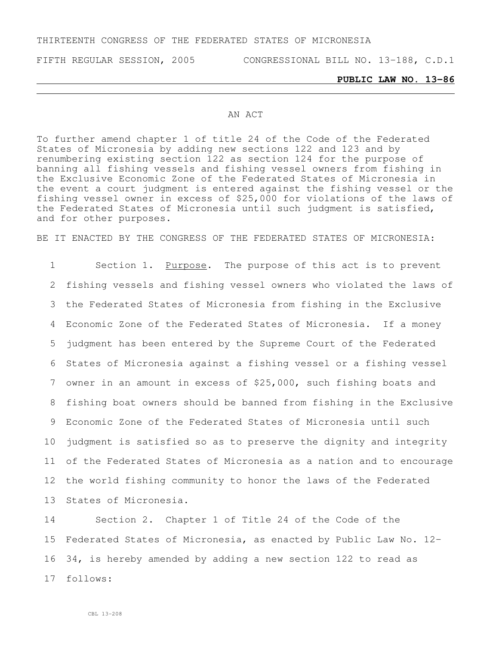### THIRTEENTH CONGRESS OF THE FEDERATED STATES OF MICRONESIA

FIFTH REGULAR SESSION, 2005 CONGRESSIONAL BILL NO. 13-188, C.D.1

### **PUBLIC LAW NO. 13-86**

#### AN ACT

To further amend chapter 1 of title 24 of the Code of the Federated States of Micronesia by adding new sections 122 and 123 and by renumbering existing section 122 as section 124 for the purpose of banning all fishing vessels and fishing vessel owners from fishing in the Exclusive Economic Zone of the Federated States of Micronesia in the event a court judgment is entered against the fishing vessel or the fishing vessel owner in excess of \$25,000 for violations of the laws of the Federated States of Micronesia until such judgment is satisfied, and for other purposes.

BE IT ENACTED BY THE CONGRESS OF THE FEDERATED STATES OF MICRONESIA:

1 Section 1. Purpose. The purpose of this act is to prevent fishing vessels and fishing vessel owners who violated the laws of the Federated States of Micronesia from fishing in the Exclusive Economic Zone of the Federated States of Micronesia. If a money judgment has been entered by the Supreme Court of the Federated States of Micronesia against a fishing vessel or a fishing vessel owner in an amount in excess of \$25,000, such fishing boats and fishing boat owners should be banned from fishing in the Exclusive Economic Zone of the Federated States of Micronesia until such judgment is satisfied so as to preserve the dignity and integrity of the Federated States of Micronesia as a nation and to encourage the world fishing community to honor the laws of the Federated States of Micronesia.

 Section 2. Chapter 1 of Title 24 of the Code of the Federated States of Micronesia, as enacted by Public Law No. 12- 34, is hereby amended by adding a new section 122 to read as 17 follows: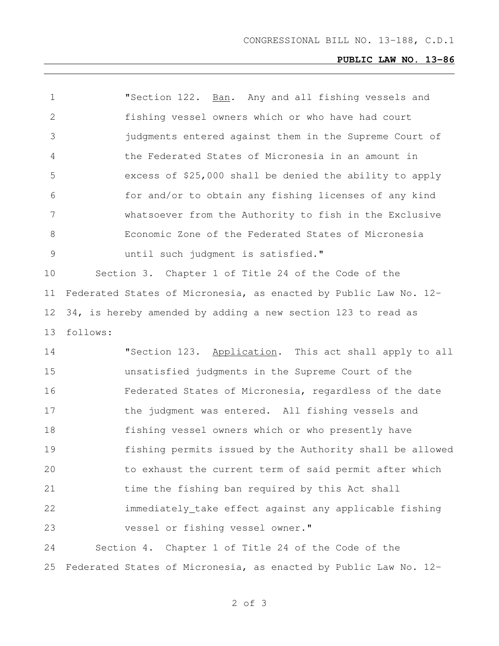# **PUBLIC LAW NO. 13-86**

| $\mathbf 1$   | "Section 122. Ban. Any and all fishing vessels and               |
|---------------|------------------------------------------------------------------|
| $\mathbf{2}$  | fishing vessel owners which or who have had court                |
| 3             | judgments entered against them in the Supreme Court of           |
| 4             | the Federated States of Micronesia in an amount in               |
| 5             | excess of \$25,000 shall be denied the ability to apply          |
| 6             | for and/or to obtain any fishing licenses of any kind            |
| 7             | whatsoever from the Authority to fish in the Exclusive           |
| 8             | Economic Zone of the Federated States of Micronesia              |
| $\mathcal{G}$ | until such judgment is satisfied."                               |
| 10            | Section 3. Chapter 1 of Title 24 of the Code of the              |
| 11            | Federated States of Micronesia, as enacted by Public Law No. 12- |
| 12            | 34, is hereby amended by adding a new section 123 to read as     |
| 13            | follows:                                                         |
| 14            | "Section 123. Application. This act shall apply to all           |
| 15            | unsatisfied judgments in the Supreme Court of the                |
| 16            | Federated States of Micronesia, regardless of the date           |
| 17            | the judgment was entered. All fishing vessels and                |
| 18            | fishing vessel owners which or who presently have                |
| 19            | fishing permits issued by the Authority shall be allowed         |
| 20            | to exhaust the current term of said permit after which           |
| 21            | time the fishing ban required by this Act shall                  |
| 22            | immediately_take effect against any applicable fishing           |
| 23            | vessel or fishing vessel owner."                                 |
| 24            | Section 4. Chapter 1 of Title 24 of the Code of the              |
| 25            | Federated States of Micronesia, as enacted by Public Law No. 12- |

of 3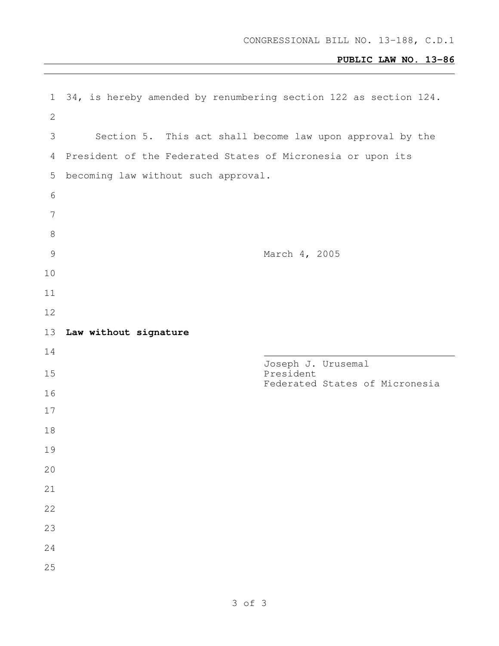## **PUBLIC LAW NO. 13-86**

| 1               | 34, is hereby amended by renumbering section 122 as section 124. |
|-----------------|------------------------------------------------------------------|
| 2               |                                                                  |
| 3               | Section 5. This act shall become law upon approval by the        |
| 4               | President of the Federated States of Micronesia or upon its      |
| 5               | becoming law without such approval.                              |
| $\epsilon$      |                                                                  |
| $7\phantom{.0}$ |                                                                  |
| $\,8\,$         |                                                                  |
| $\mathcal{G}$   | March 4, 2005                                                    |
| 10              |                                                                  |
| 11              |                                                                  |
| 12              |                                                                  |
| 13              | Law without signature                                            |
|                 |                                                                  |
| 14              |                                                                  |
| 15              | Joseph J. Urusemal<br>President                                  |
| 16              | Federated States of Micronesia                                   |
| 17              |                                                                  |
| 18              |                                                                  |
| 19              |                                                                  |
| 20              |                                                                  |
| 21              |                                                                  |
| 22              |                                                                  |
| 23              |                                                                  |
| 24              |                                                                  |